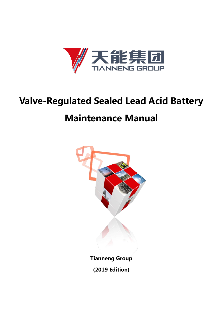

# **Valve-Regulated Sealed Lead Acid Battery Maintenance Manual**

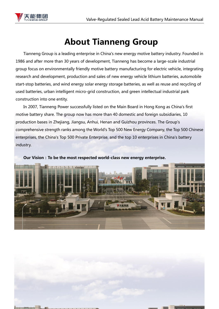

# **About Tianneng Group**

Tianneng Group is a leading enterprise in China's new energy motive battery industry. Founded in 1986 and after more than 30 years of development, Tianneng has become a large-scale industrial group focus on environmentally friendly motive battery manufacturing for electric vehicle, integrating research and development, production and sales of new energy vehicle lithium batteries, automobile start-stop batteries, and wind energy solar energy storage batteries, as well as reuse and recycling of used batteries, urban intelligent micro-grid construction, and green intellectual industrial park construction into one entity.

In 2007, Tianneng Power successfully listed on the Main Board in Hong Kong as China's first motive battery share. The group now has more than 40 domestic and foreign subsidiaries, 10 production bases in Zhejiang, Jiangsu, Anhui, Henan and Guizhou provinces. The Group's comprehensive strength ranks among the World's Top 500 New Energy Company, the Top 500 Chinese enterprises, the China's Top 500 Private Enterprise, and the top 10 enterprises in China's battery industry.

**Our Vision:To be the most respected world-class new energy enterprise.**



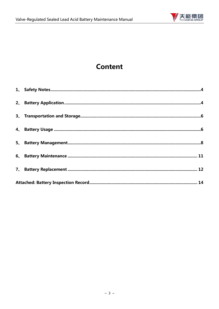

# **Content**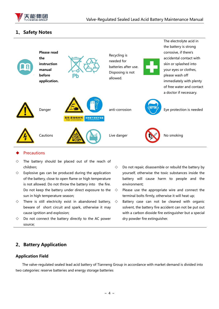

## <span id="page-3-0"></span>**1、Safety Notes**



#### **Precautions**

- $\diamond$  The battery should be placed out of the reach of children;
- $\Diamond$  Explosive gas can be produced during the application of the battery, close to open flame or high temperature is not allowed. Do not throw the battery into the fire. Do not keep the battery under direct exposure to the sun in high temperature season;
- $\Diamond$  There is still electricity exist in abandoned battery, beware of short circuit and spark, otherwise it may cause ignition and explosion;
- $\diamond$  Do not connect the battery directly to the AC power source;
- $\Diamond$  Do not repair, disassemble or rebuild the battery by yourself, otherwise the toxic substances inside the battery will cause harm to people and the environment;
- $\diamond$  Please use the appropriate wire and connect the terminal bolts firmly, otherwise it will heat up;
- $\diamond$  Battery case can not be cleaned with organic solvent, the battery fire accident can not be put out with a carbon dioxide fire extinguisher but a special dry powder fire extinguisher.

## <span id="page-3-1"></span>**2、Battery Application**

#### **Application Field**

The valve-regulated sealed lead acid battery of Tianneng Group in accordance with market demand is divided into two categories: reserve batteries and energy storage batteries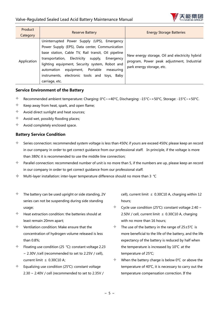

| Product<br>Category | <b>Reserve Battery</b>                                                                                                                                                                                                                                                                                                                                                        | <b>Energy Storage Batteries</b>                                                                                           |
|---------------------|-------------------------------------------------------------------------------------------------------------------------------------------------------------------------------------------------------------------------------------------------------------------------------------------------------------------------------------------------------------------------------|---------------------------------------------------------------------------------------------------------------------------|
| Application         | Uninterrupted Power Supply (UPS), Emergency<br>Power Supply (EPS), Data center, Communication<br>base station, Cable TV, Rail transit, Oil pipeline<br>transportation, Electricity supply,<br>Emergency<br>lighting equipment, Security system, Robot and<br>equipment, Portable<br>measuring<br>automation<br>instruments, electronic tools and toys, Baby<br>carriage, etc. | New energy storage, Oil and electricity hybrid<br>program, Power peak adjustment, Industrial<br>park energy storage, etc. |

#### **Service Environment of the Battery**

- $\lozenge$  Recommended ambient temperature: Charging: 0°C~+40°C, Discharging: -15°C~+50°C, Storage: -15°C~+50°C.
- $\Diamond$  Keep away from heat, spark, and open flame;
- $\Diamond$  Avoid direct sunlight and heat sources;
- $\Diamond$  Avoid wet, possibly flooding places;
- $\Diamond$  Avoid completely enclosed space.

#### **Battery Service Condition**

- $\diamond$  Series connection: recommended system voltage is less than 450V, if yours are exceed 450V, please keep an record in our company in order to get correct guidance from our professional staff. In principle, if the voltage is more than 380V, it is recommended to use the middle line connection;
- $\Diamond$  Parallel connection: recommended number of unit is no more than 5, if the numbers are up, please keep an record in our company in order to get correct guidance from our professional staff.
- Multi-layer installation: inter-layer temperature difference should no more than 3 ℃
- $\Diamond$  The battery can be used upright or side standing, 2V series can not be suspending during side standing usage;
- $\Diamond$  Heat extraction condition: the batteries should at least remain 20mm apart;
- $\Diamond$  Ventilation condition: Make ensure that the concentration of hydrogen volume released is less than 0.8%;
- $\div$  Floating use condition (25 °C): constant voltage 2.23 ~ 2.30V /cell (recommended to set to 2.25V / cell), current limit ≤ 0.30C10 A;
- $\Diamond$  Equalizing use condition (25°C): constant voltage 2.30 ~ 2.40V / cell (recommended to set to 2.35V /

cell), current limit  $\leq$  0.30C10 A, charging within 12 hours;

- $\div$  Cycle use condition (25°C): constant voltage 2.40 ~ 2.50V / cell, current limit  $\leq$  0.30C10 A, charging with no more than 16 hours:
- The use of the battery in the range of 25±5℃ is more beneficial to the life of the battery, and the life expectancy of the battery is reduced by half when the temperature is increased by 10℃ at the temperature of 25℃;
- $\Diamond$  When the battery charge is below 0°C or above the temperature of 40℃, it is necessary to carry out the temperature compensation correction. If the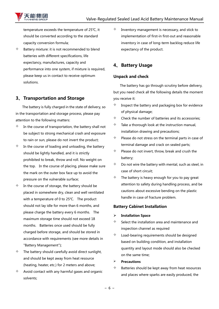

temperature exceeds the temperature of 25℃, it should be converted according to the standard capacity conversion formula;

 $\Diamond$  Battery mixture: it is not recommended to blend batteries with different specifications, life expectancy, manufactures, capacity and performance into one system, if mixture is required, please keep us in contact to receive optimum solutions.

# <span id="page-5-0"></span>**3、Transportation and Storage**

The battery is fully charged in the state of delivery, so in the transportation and storage process, please pay attention to the following matters:

- $\Diamond$  In the course of transportation, the battery shall not be subject to strong mechanical crash and exposure to rain or sun, please do not invert the product;
- $\Diamond$  In the course of loading and unloading, the battery should be lightly handled, and it is strictly prohibited to break, throw and roll. No weight on the top. In the course of placing, please make sure the mark on the outer box face up to avoid the pressure on the vulnerable surface;
- $\Diamond$  In the course of storage, the battery should be placed in somewhere dry, clean and well ventilated with a temperature of 0 to 25℃. The product should not lay idle for more than 6 months, and please charge the battery every 6 months. The maximum storage time should not exceed 18 months. Batteries once used should be fully charged before storage, and should be stored in accordance with requirements (see more details in "Battery Management");
- $\Diamond$  The battery should carefully avoid direct sunlight, and should be kept away from heat resource (heating, heater, etc.) for 2 meters and above;
- $\Diamond$  Avoid contact with any harmful gases and organic solvents;

 $\Diamond$  Inventory management is necessary, and stick to implementation of first-in first-out and reasonable inventory in case of long-term backlog reduce life expectancy of the product.

# <span id="page-5-1"></span>**4、Battery Usage**

#### **Unpack and check**

 The battery has go through scrutiny before delivery, but you need check all the following details the moment you receive it:

- $\Diamond$  Inspect the battery and packaging box for evidence of physical damage;
- $\Diamond$  Check the number of batteries and its accessories;
- $\Diamond$  Take a thorough look at the instruction manual, installation drawing and precautions;
- $\Diamond$  Please do not stress on the terminal parts in case of terminal damage and crack on sealed parts;
- $\Diamond$  Please do not invert, throw, break and crush the battery;
- $\Diamond$  Do not wire the battery with mental, such as steel, in case of short circuit;
- $\Diamond$  The battery is heavy enough for you to pay great attention to safety during handling process, and be cautions about excessive bending on the plastic handle in case of fracture problem.

#### **Battery Cabinet Installation**

#### ➢ **Installation Space**

- $\diamond$  Select the installation area and maintenance and inspection channel as required
- $\Diamond$  Load-bearing requirements should be designed based on building condition, and installation quantity and layout mode should also be checked on the same time;
- ➢ **Precautions**
- $\Diamond$  Batteries should be kept away from heat resources and places where sparks are easily produced, the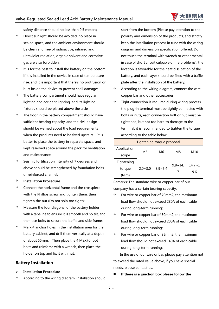

safety distance should no less than 0.5 meters;

- $\Diamond$  Direct sunlight should be avoided, no place in sealed space, and the ambient environment should be clean and free of radioactive, infrared and ultraviolet radiation, organic solvent and corrosive gas are also forbidden;
- $\Diamond$  It is for the best to install the battery on the bottom if it is installed in the device in case of temperature rise, and it is important that there's no protrusion or burr inside the device to prevent shell damage;
- $\Diamond$  The battery compartment should have regular lighting and accident lighting, and its lighting fixtures should be placed above the aisle
- $\Diamond$  The floor in the battery compartment should have sufficient bearing capacity, and the civil design should be warned about the load requirements when the products need to be fixed upstairs. It is better to place the battery in separate space, and kept reserved space around the pack for ventilation and maintenance;
- $\Diamond$  Seismic fortification intensity of 7 degrees and above should be strengthened by foundation bolts or reinforced channel.
- ➢ **Installation Procedure**
- $\diamond$  Connect the horizontal frame and the crosspiece with the Phillips screw and tighten them, then tighten the nut (Do not spin too tight);
- $\Diamond$  Measure the four diagonal of the battery holder with a tapeline to ensure it is smooth and no tilt, and then use bolts to secure the baffle and side frame;
- $\Diamond$  Mark 4 anchor holes in the installation area for the battery cabinet, and drill them vertically at a depth of about 55mm. Then place the 4 M8X70 foot bolts and reinforce with a wrench, then place the holder on top and fix it with nut.

#### **Battery Installation**

- ➢ **Installation Procedure**
- $\Diamond$  According to the wiring diagram, installation should

start from the bottom (Please pay attention to the polarity and dimension of the products, and strictly keep the installation process in tune with the wiring diagram and dimension specification offered; Do not touch the terminal with wrench or other mental in case of short circuit culpable of fire problems), the location is favorable for the heat dissipation of the battery, and each layer should be fixed with a baffle plate after the installation of the battery;

- $\Diamond$  According to the wiring diagram, connect the wire, copper bar and other accessories;
- $\Diamond$  Tight connection is required during wiring process, the plug-in terminal must be tightly connected with bolts or nuts, each connection bolt or nut must be tightened, but not too hard to damage to the terminal, it is recommended to tighten the torque according to the table below:

| <b>Tightening torque proposal</b> |             |             |               |                          |  |
|-----------------------------------|-------------|-------------|---------------|--------------------------|--|
| Application                       | M5          |             |               | M10<br>$14.7 - 1$<br>9.6 |  |
| scope                             |             | M6<br>M8    |               |                          |  |
| Tightening                        |             |             | $9.8 \sim 14$ |                          |  |
| torque                            | $2.0 - 3.0$ | $3.9 - 5.4$ |               |                          |  |
| $(N \cdot m)$                     |             |             |               |                          |  |

Remarks: The standard wire or copper bar of our company has a certain bearing capacity:

- For wire or copper bar of 70mm2, the maximum load flow should not exceed 280A of each cable during long-term running;
- For wire or copper bar of 50mm2, the maximum load flow should not exceed 200A of each cable during long-term running;
- $\Diamond$  For wire or copper bar of 35mm2, the maximum load flow should not exceed 140A of each cable during long-term running;

 In the use of our wire or bar, please pay attention not to exceed the rated value above, if you have special needs, please contact us.

#### ◼ **If there is a junction box,please follow the**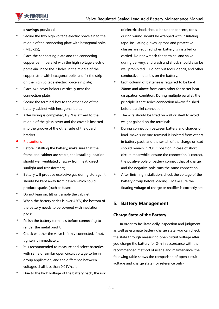

#### **drawings provided**

- $\Diamond$  Secure the two high voltage electric porcelain to the middle of the connecting plate with hexagonal bolts ( M10x25);
- $\Diamond$  Place the connecting plate and the connecting copper bar in parallel with the high voltage electric porcelain. Place the 2 holes in the middle of the copper strip with hexagonal bolts and fix the strip on the high voltage electric porcelain plate;
- $\Diamond$  Place two cover holders vertically near the connection plate;
- $\Diamond$  Secure the terminal box to the other side of the battery cabinet with hexagonal bolts;
- $\Diamond$  After wiring is completed, P / N is affixed to the middle of the glass cover and the cover is inserted into the groove of the other side of the guard bracket.

#### **Precautions**

- $\Diamond$  Before installing the battery, make sure that the frame and cabinet are stable, the installing location should well ventilated, away from heat, direct sunlight and transformers;
- $\Diamond$  Battery will produce explosive gas during storage, it should be kept away from device which could produce sparks (such as fuse);
- $\diamond$  Do not lean on, tilt or trample the cabinet;
- $\Diamond$  When the battery series is over 450V, the bottom of the battery needs to be covered with insulation pads;
- $\Diamond$  Polish the battery terminals before connecting to render the metal bright:
- $\Diamond$  Check whether the valve is firmly connected, if not, tighten it immediately;
- $\Diamond$  It is recommended to measure and select batteries with same or similar open circuit voltage to be in group application, and the difference between voltages shall less than 0.01V/cell;
- Due to the high voltage of the battery pack, the risk

of electric shock should be under concern, tools during wiring should be wrapped with insulating tape. Insulating gloves, aprons and protective glasses are required when battery is installed or carried. Do not wrench the terminal and valve during delivery, and crash and shock should also be well prohibited. Do not put tools, debris, and other conductive materials on the battery;

- $\Diamond$  Each column of batteries is required to be kept 20mm and above from each other for better heat dissipation condition. During multiple parallel, the principle is that series connection always finished before parallel connection;
- $\Diamond$  The wire should be fixed on wall or shelf to avoid weight gained on the terminal;
- $\Diamond$  During connection between battery and charger or load, make sure one terminal is isolated from others in battery pack, and the switch of the charge or load should remain in "OFF" position in case of short circuit, meanwhile, ensure the connection is correct, the positive pole of battery connect that of charge, and the negative pole runs the same connection;
- $\Diamond$  After finishing installation, check the voltage of the battery group before loading. Make sure the floating voltage of charge or rectifier is correctly set.

## <span id="page-7-0"></span>**5、Battery Management**

#### **Charge State of the Battery**

In order to facilitate daily inspection and judgment as well as estimate battery charge state, you can check the state through measuring open circuit voltage after you charge the battery for 24h in accordance with the recommended method of usage and maintenance, the following table shows the comparison of open circuit voltage and charge state (for reference only):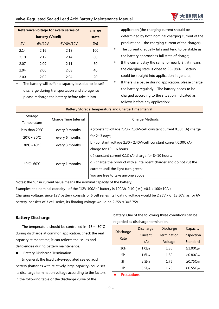

| Reference voltage for every series of<br>charge |        |           |        |  |  |
|-------------------------------------------------|--------|-----------|--------|--|--|
|                                                 | state  |           |        |  |  |
| 2V                                              | 6V/12V | 6V/8V/12V | $(\%)$ |  |  |
| 2.14                                            | 2.16   | 2.18      | 100    |  |  |
| 2.10                                            | 2.12   | 2.14      | 80     |  |  |
| 2.07                                            | 2.09   | 2.11      | 60     |  |  |
| 2.04                                            | 2.06   | 2.08      | 40     |  |  |
| 2.00                                            | 2.02   | 2.04      | 20     |  |  |

 $\Diamond$  The battery will suffer a capacity loss due to its self discharge during transportation and storage, so please recharge the battery before take it into

application (the charging current should be determined by both nominal charging current of the product and the charging current of the charger);

- $\Diamond$  The current gradually falls and tend to be stable as the battery approaches full state of charge;
- $\Diamond$  If the current stay the same for nearly 3h, it means the charging state is close to 95~98%; Battery could be straight into application in general;
- $\Diamond$  If there is a pause during application, please charge the battery regularly. The battery needs to be charged according to the situation indicated as follows before any application:

| Battery Storage Temperature and Charge Time Interval |                      |                                                                          |  |  |
|------------------------------------------------------|----------------------|--------------------------------------------------------------------------|--|--|
| Storage                                              | Charge Time Interval | Charge Methods                                                           |  |  |
| Temperature                                          |                      |                                                                          |  |  |
| less than $20^{\circ}$ C<br>every 9 months           |                      | a )constant voltage 2.23 ~ 2.30V/cell, constant current 0.30C (A) charge |  |  |
| $20^{\circ}$ C ~ 30 $^{\circ}$ C                     | every 6 months       | for $2~3$ days;                                                          |  |  |
| $30^{\circ}$ C ~ 40 $^{\circ}$ C                     | every 3 months       | b) constant voltage $2.30 \sim 2.40V/cell$ , constant current 0.30C (A)  |  |  |
|                                                      |                      | charge for 10~16 hours;                                                  |  |  |
|                                                      |                      | c) constant current 0.1C (A) charge for $8 \sim 10$ hours;               |  |  |
| 40°C~60°C                                            | every 1 months       | d) charge the product with a intelligent charger and do not cut the      |  |  |
|                                                      |                      | current until the light turn green;                                      |  |  |
|                                                      |                      | You are free to take anyone above                                        |  |  |

Notes: the "C" in current value means the nominal capacity of the battery.

Examples: the nominal capacity of the "12V 100Ah" battery is 100Ah, 0.1C (A) =  $0.1 \times 100=10$ A; Charging voltage: since 12V battery consists of 6 cell series, its floating voltage would be 2.25V x 6=13.50V; as for 6V battery, consists of 3 cell series, its floating voltage would be 2.25V x 3=6.75V

#### **Battery Discharge**

 The temperature should be controlled in -15~+50°C during discharge at common application, check the real capacity at meantime; It can reflects the issues and deficiencies during battery maintenance.

■ Battery Discharge Termination

In general, the fixed valve-regulated sealed acid battery (batteries with relatively large capacity) could set its discharge termination voltage according to the factors in the following table or the discharge curve of the

battery. One of the following three conditions can be regarded as discharge termination.

| <b>Discharge</b> | <b>Discharge</b> | <b>Discharge</b>   | Capacity             |
|------------------|------------------|--------------------|----------------------|
| Rate             | Current          | <b>Termination</b> | Inspection           |
|                  | (A)              | Voltage            | Standard             |
| 10h              | $1.0I_{10}$      | 1.80               | ≥1.00 $C_{10}$       |
| 5h               | $1.6I_{10}$      | 1.80               | ≥0.80C <sub>10</sub> |
| 3h               | $2.5I_{10}$      | 1.75               | ≥0.75 $C_{10}$       |
| 1h               | $5.5I_{10}$      | 1.75               | $≥0.55C_{10}$        |

**Precautions**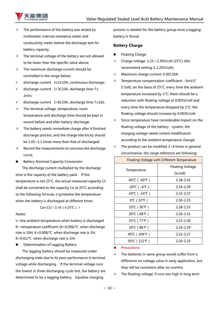

- The performance of the battery was tested by multimeter, internal resistance meter and conductivity meter before the discharge test for battery capacity;
- $\Diamond$  The terminal voltage of the battery are not allowed to be lower than the specific value above;
- $\div$  The maximum discharge current should be controlled in the range below:
- ✓ discharge current I≤1C10A, continuous discharge;
- ✓ discharge current I=3C10A, discharge time T≤ 2min;
- ✓ discharge current I=6C10A, discharge time T≤10s.
- $\Diamond$  The terminal voltage, temperature, room temperature and discharge time should be kept in record before and after battery discharge;
- $\div$  The battery needs immediate charge after it finished discharge process, and the charge electricity should be 1.05~1.1 times more than that of discharged;
- $\Diamond$  Record the measurements to conceive the discharge curve;
- Battery Nominal Capacity Conversion

The discharge current multiplied by the discharge time is the capacity of the battery pack. If the temperature is not 25°C, the actual measured capacity Ct shall be converted to the capacity Ce at 25°C according to the following formula, t symbolize the temperature when the battery is discharged at different times.

Ce=Ct/  $(1+K(t-25°C)$  →

#### Notes:

t—the ambient temperature when battery is discharged K—temperature coefficient (K=0.006/℃ when discharge rate is 10H; K=0.008/℃ when discharge rate is 3H; K=0.01/℃ when discharge rate is 1H)

■ Determination of Lagging Battery

 The lagging battery should be measured under discharging state due to its poor performance in terminal voltage while discharging. If the terminal voltage runs the lowest in three discharging cycle test, the battery are determined to be a lagging battery. Equalize charging

process is needed for the battery group once a lagging battery is found.

#### **Battery Charge**

- Floating Charge
- Charge voltage: 2.23~2.30V/cell (25℃) (the recommend setting is 2.25V/cell);
- $\div$  Maximum charge current: 0.30C10A;
- $\div$  Temperature compensation coefficient: -3mV/(° C\*cell), on the basis of 25°C, every time the ambient temperature increased by 1°C, there should be a reduction with floating voltage at 0.003V/cell and every time the temperature dropped by 1°C, the floating voltage should increase by 0.003V/cell;
- $\Diamond$  Since temperature have considerable impact on the floating voltage of the battery system, the charging voltage needs instant modification according to the ambient temperature change;
- $\div$  The product can be modified 2~4 times in general circumstance, the range reference are following:

|                                   | <b>Floating Voltage with Different Temperature</b> |
|-----------------------------------|----------------------------------------------------|
|                                   | <b>Floating Voltage</b>                            |
| Temperature                       | (V/cell)                                           |
| -40℃(-40℉)                        | 2.38-2.43                                          |
| $-20^{\circ}$ C ( $-4^{\circ}$ F) | 2.34-2.39                                          |
| -10℃(-14℉)                        | $2.32 - 2.37$                                      |
| $0^{\circ}$ C (32 $^{\circ}$ F)   | 2.30-2.35                                          |
| 10°C (50°F)                       | 2.28-2.33                                          |
| 20℃ (68°F)                        | 2.26-2.31                                          |
| 25℃ (77°F)                        | $2.25 - 2.30$                                      |
| 30℃ (86°F)                        | 2.24-2.29                                          |
| 40°C(104°F)                       | $2.22 - 2.27$                                      |
| 50°C (122°F)                      | $2.20 - 2.25$                                      |

#### **Precautions**

- $\Diamond$  The batteries in same group would suffer from a difference on voltage value in early application, but they will be consistent after six months.
- $\Diamond$  The floating voltage, if runs too high in long term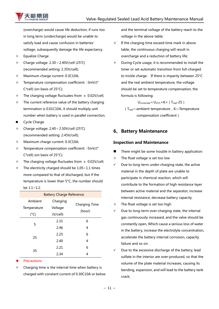

(overcharge) would cause life deduction; if runs too in long term (undercharge) would be unable to satisfy load and cause confusion in batteries' voltage, subsequently damage the life expectancy.

- $\Leftrightarrow$  Equalize Charge
- Charge voltage: 2.30~2.40V/cell (25℃) (recommended setting: 2.35V/cell);
- $\div$  Maximum charge current: 0.3C10A;
- $\div$  Temperature compensation coefficient: -3mV/(° C\*cell) (on basis of 25°C);
- $\div$  The charging voltage fluctuates from  $\pm$  0.02V/cell;
- $\div$  The current reference value of the battery charging termination is 0.01C10A, it should multiply unit number when battery is used in parallel connection.
- Cycle Charge
- Charge voltage: 2.40~2.50V/cell (25℃) (recommended setting: 2.45V/cell);
- $\lozenge$  Maximum charge current: 0.3C10A;
- $\div$  Temperature compensation coefficient: -5mV/( $\degree$ C\*cell) (on basis of 25°C);
- $\div$  The charging voltage fluctuates from  $\pm$  0.02V/cell;
- $\div$  The electricity charged should be 1.05~1.1 times more compared to that of discharged, but if the temperature is lower than 5°C, the number should  $he 11~1~2$

| <b>Battery Charge Reference</b> |                    |               |  |  |
|---------------------------------|--------------------|---------------|--|--|
| Ambient                         | Charging           | Charging Time |  |  |
| Temperature                     | Voltage            |               |  |  |
| $(^{\circ}C)$                   | (hour)<br>(V/cell) |               |  |  |
| 5                               | 2.31               | 6             |  |  |
|                                 | 2.46               | 4             |  |  |
| 25                              | 2.25               | 6             |  |  |
|                                 | 2.40               | 4             |  |  |
| 35                              | 2.21               | 6             |  |  |
|                                 | 2.34               | 4             |  |  |

- **Precautions**
- $\Diamond$  Charging time is the internal time when battery is charged with constant current of 0.30C10A or below

and the terminal voltage of the battery reach to the voltage in the above table;

- $\div$  If the charging time exceed time mark in above table, the continuous charging will result in overcharge and a reduction of battery life;
- $\Diamond$  During Cycle usage, it is recommended to install the timer or set automatic transition from full-charged to trickle charge. If there is imparity between 25°C and the real ambient temperature, the voltage should be set to temperature compensation, the formula is following:

 $U_{\text{corrected}} = U_{25}c + K \times (T_{\text{real}}-25)$ 

(Treal—ambient temperature,K—Temperature compensation coefficient)

# <span id="page-10-0"></span>**6、Battery Maintenance**

### **Inspection and Maintenance**

- There might be some trouble in battery application:
- $\div$  The float voltage is set too low
- $\checkmark$  Due to long-term under-charging state, the active material in the depth of plate are unable to participate in chemical reaction, which will contribute to the formation of high resistance layer between active material and the separator, increase internal resistance, decrease battery capacity.
- $\Diamond$  The float voltage is set too high
- $\checkmark$  Due to long-term over-charging state, the internal gas continuously increased, and the valve should be constantly open, Which cause a serious loss of water in the battery, increase the electrolyte concentration, accelerate the battery internal corrosion, capacity failure and so on.
- Due to the excessive discharge of the battery, lead sulfate in the interior are over-produced, so that the volume of the plate material increases, causing its bending, expansion, and will lead to the battery tank crack;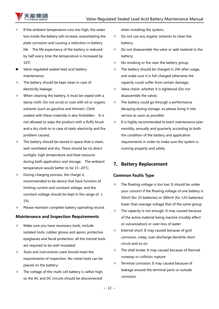

- If the ambient temperature runs too high, the water loss inside the battery will increase, exacerbating the plate corrosion and causing a reduction in battery life. The life expectancy of the battery is reduced by half every time the temperature is increased by 10℃
- Valve-regulated sealed lead acid battery maintenance
- $\div$  The battery should be kept clean in case of electricity leakage;
- $\Diamond$  When cleaning the battery, it must be wiped with a damp cloth. Do not scrub or coat with oil or organic solvents (such as gasoline and thinner). Cloth soaked with these materials is also forbidden. It is not allowed to wipe the product with a fluffy brush and a dry cloth to in case of static electricity and fire problem caused;
- $\Diamond$  The battery should be stored in space that is clean, well-ventilated and dry. There should be no direct sunlight, high temperature and heat resource during both application and storage. The ambient temperature would better to be 15~20°C;
- $\Diamond$  During charging process, the charge is recommended to be device that have function of limiting current and constant voltage, and the constant voltage should be kept in the range of  $\pm$ 1%;
- $\Diamond$  Please maintain complete battery operating record.

#### **Maintenance and Inspection Requirements**

- $\Diamond$  Make sure you have necessary tools, include isolated tools, rubber gloves and apron, protective eyeglasses and facial protection, all the mental tools are required to be well-insulated;
- $\Diamond$  Tools and instruments used should meet the requirements of inspection. No metal tools can be placed on the battery;
- $\div$  The voltage of the multi-cell battery is rather high, so the AC and DC circuits should be disconnected

when installing the system;

- $\Diamond$  Do not use any organic solvents to clean the battery;
- $\Diamond$  Do not disassemble the valve or add material in the battery;
- $\Diamond$  No smoking or fire near the battery group;
- $\div$  The battery should be charged in 24h after usage, and make sure it is full-charged otherwise the capacity could suffer from certain damage;
- $\Diamond$  Valve check: whether it is tightened (Do not disassemble the valve);
- $\div$  The battery could go through a performance decaying during storage, so please bring it into service as soon as possible;
- $\Diamond$  It is highly recommended to exert maintenance plan monthly, annually and quarterly according to both the condition of the battery and application requirements in order to make sure the system is running properly and safely.

# <span id="page-11-0"></span>**7、Battery Replacement**

#### **Common Faults Type**

- The floating voltage is too low: It should be under your concern if the floating voltage of one battery is 50mV (for 2V batteries) or 300mV (for 12V batteries) lower than average voltage that of the same group
- $\Diamond$  The capacity is not enough: It may caused because of the active material being inactive (muddy effect or vulcanization) or over-loss of water
- $\Diamond$  Internal short: It may caused because of grid corrosion, creep, over discharge dendrite short circuit and so on
- $\div$  The shell broke: It may caused because of thermal runaway or collision rupture
- $\div$  Terminal corrosion: It may caused because of leakage around the terminal parts or outside corrosion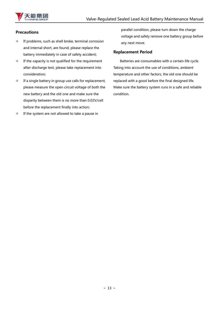

#### **Precautions**

- $\div$  If problems, such as shell broke, terminal corrosion and internal short, are found, please replace the battery immediately in case of safety accident;
- $\Diamond$  If the capacity is not qualified for the requirement after discharge test, please take replacement into consideration;
- $\div$  If a single battery in group use calls for replacement, please measure the open circuit voltage of both the new battery and the old one and make sure the disparity between them is no more than 0.02V/cell before the replacement finally into action;
- <span id="page-12-0"></span> $\Diamond$  If the system are not allowed to take a pause in

parallel condition, please turn down the charge voltage and safely remove one battery group before any next move.

#### **Replacement Period**

 Batteries are consumables with a certain life cycle. Taking into account the use of conditions, ambient temperature and other factors, the old one should be replaced with a good before the final designed life. Make sure the battery system runs in a safe and reliable condition.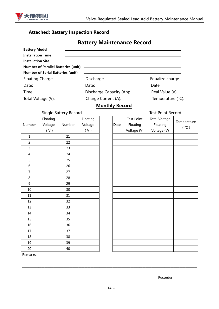

# **Attached: Battery Inspection Record**

# **Battery Maintenance Record**

| <b>Battery Model</b>                        |                          |                             |
|---------------------------------------------|--------------------------|-----------------------------|
| <b>Installation Time</b>                    |                          |                             |
| <b>Installation Site</b>                    |                          |                             |
| Number of Parallel Batteries (unit) _______ |                          |                             |
| <b>Number of Serial Batteries (unit)</b>    |                          |                             |
| <b>Floating Charge</b>                      | Discharge                | Equalize charge             |
| Date:                                       | Date:                    | Date:                       |
| Time:                                       | Discharge Capacity (Ah): | Real Value (V):             |
| Total Voltage (V):                          | Charge Current (A):      | Temperature $(^{\circ}C)$ : |

### **Monthly Record**

|           |        |           |                       |      |                   | <b>Test Point Record</b> |     |
|-----------|--------|-----------|-----------------------|------|-------------------|--------------------------|-----|
| Floating  |        | Floating  |                       |      | <b>Test Point</b> | <b>Total Voltage</b>     |     |
| Voltage   | Number | Voltage   |                       | Date | Floating          | Floating                 | Tem |
| $(\,V\,)$ |        | $(\,V\,)$ |                       |      | Voltage (V)       | Voltage (V)              |     |
|           | 21     |           |                       |      |                   |                          |     |
|           | 22     |           |                       |      |                   |                          |     |
|           | 23     |           |                       |      |                   |                          |     |
|           | 24     |           |                       |      |                   |                          |     |
|           | 25     |           |                       |      |                   |                          |     |
|           | 26     |           |                       |      |                   |                          |     |
|           | 27     |           |                       |      |                   |                          |     |
|           | 28     |           |                       |      |                   |                          |     |
|           | 29     |           |                       |      |                   |                          |     |
|           | 30     |           |                       |      |                   |                          |     |
|           | 31     |           |                       |      |                   |                          |     |
|           | 32     |           |                       |      |                   |                          |     |
|           | 33     |           |                       |      |                   |                          |     |
|           | 34     |           |                       |      |                   |                          |     |
|           | 35     |           |                       |      |                   |                          |     |
|           | 36     |           |                       |      |                   |                          |     |
|           | 37     |           |                       |      |                   |                          |     |
|           | 38     |           |                       |      |                   |                          |     |
|           | 39     |           |                       |      |                   |                          |     |
|           | 40     |           |                       |      |                   |                          |     |
|           |        |           | Single Battery Record |      |                   |                          |     |

| Total Voltage |  |
|---------------|--|

| Date | <b>Test Point</b><br>Floating<br>Voltage (V) | <b>Total Voltage</b><br>Floating<br>Voltage (V) | Temperature<br>(°C) |
|------|----------------------------------------------|-------------------------------------------------|---------------------|
|      |                                              |                                                 |                     |
|      |                                              |                                                 |                     |
|      |                                              |                                                 |                     |
|      |                                              |                                                 |                     |
|      |                                              |                                                 |                     |
|      |                                              |                                                 |                     |
|      |                                              |                                                 |                     |
|      |                                              |                                                 |                     |
|      |                                              |                                                 |                     |
|      |                                              |                                                 |                     |
|      |                                              |                                                 |                     |
|      |                                              |                                                 |                     |
|      |                                              |                                                 |                     |
|      |                                              |                                                 |                     |
|      |                                              |                                                 |                     |
|      |                                              |                                                 |                     |
|      |                                              |                                                 |                     |
|      |                                              |                                                 |                     |
|      |                                              |                                                 |                     |
|      |                                              |                                                 |                     |

Remarks:

Recorder: \_\_\_\_\_\_\_\_\_\_\_\_\_\_\_\_\_\_

\_\_\_\_\_\_\_\_\_\_\_\_\_\_\_\_\_\_\_\_\_\_\_\_\_\_\_\_\_\_\_\_\_\_\_\_\_\_\_\_\_\_\_\_\_\_\_\_\_\_\_\_\_\_\_\_\_\_\_\_\_\_\_\_\_\_\_\_\_\_\_\_\_\_\_\_\_\_\_\_\_\_\_\_\_\_\_\_\_\_\_\_\_\_\_\_\_\_\_\_\_\_\_\_\_\_\_\_\_\_\_\_\_\_\_\_\_\_ \_\_\_\_\_\_\_\_\_\_\_\_\_\_\_\_\_\_\_\_\_\_\_\_\_\_\_\_\_\_\_\_\_\_\_\_\_\_\_\_\_\_\_\_\_\_\_\_\_\_\_\_\_\_\_\_\_\_\_\_\_\_\_\_\_\_\_\_\_\_\_\_\_\_\_\_\_\_\_\_\_\_\_\_\_\_\_\_\_\_\_\_\_\_\_\_\_\_\_\_\_\_\_\_\_\_\_\_\_\_\_\_\_\_\_\_\_\_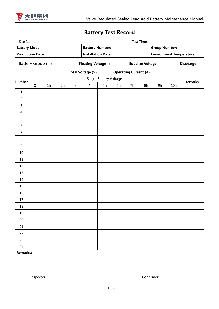

# **Battery Test Record**

| Test Time:<br>Site Name: |                  |                |    |    |                                                     |                        |                              |                         |    |                                                         |                            |         |  |
|--------------------------|------------------|----------------|----|----|-----------------------------------------------------|------------------------|------------------------------|-------------------------|----|---------------------------------------------------------|----------------------------|---------|--|
| <b>Battery Model:</b>    |                  |                |    |    | <b>Battery Number:</b><br><b>Installation Date:</b> |                        |                              |                         |    | <b>Group Number:</b><br><b>Environment Temperature:</b> |                            |         |  |
| <b>Production Date:</b>  |                  |                |    |    |                                                     |                        |                              |                         |    |                                                         |                            |         |  |
|                          | Battery Group () |                |    |    | Floating Voltage $\square$                          |                        |                              | Equalize Voltage $\Box$ |    |                                                         | Discharge <b>Discharge</b> |         |  |
|                          |                  |                |    |    | <b>Total Voltage (V)</b>                            |                        | <b>Operating Current (A)</b> |                         |    |                                                         |                            |         |  |
| Number                   |                  |                |    |    |                                                     | Single Battery Voltage |                              |                         |    |                                                         |                            | remarks |  |
|                          | $\pmb{0}$        | 1 <sub>h</sub> | 2h | 3h | 4h                                                  | 5h                     | 6h                           | 7h                      | 8h | 9h                                                      | 10h                        |         |  |
| $\mathbf 1$              |                  |                |    |    |                                                     |                        |                              |                         |    |                                                         |                            |         |  |
| $\overline{2}$           |                  |                |    |    |                                                     |                        |                              |                         |    |                                                         |                            |         |  |
| $\overline{3}$           |                  |                |    |    |                                                     |                        |                              |                         |    |                                                         |                            |         |  |
| $\overline{4}$           |                  |                |    |    |                                                     |                        |                              |                         |    |                                                         |                            |         |  |
| 5                        |                  |                |    |    |                                                     |                        |                              |                         |    |                                                         |                            |         |  |
| $\boldsymbol{6}$         |                  |                |    |    |                                                     |                        |                              |                         |    |                                                         |                            |         |  |
| $\boldsymbol{7}$         |                  |                |    |    |                                                     |                        |                              |                         |    |                                                         |                            |         |  |
| $\bf 8$                  |                  |                |    |    |                                                     |                        |                              |                         |    |                                                         |                            |         |  |
| $\boldsymbol{9}$         |                  |                |    |    |                                                     |                        |                              |                         |    |                                                         |                            |         |  |
| 10                       |                  |                |    |    |                                                     |                        |                              |                         |    |                                                         |                            |         |  |
| $11\,$                   |                  |                |    |    |                                                     |                        |                              |                         |    |                                                         |                            |         |  |
| 12                       |                  |                |    |    |                                                     |                        |                              |                         |    |                                                         |                            |         |  |
| 13                       |                  |                |    |    |                                                     |                        |                              |                         |    |                                                         |                            |         |  |
| 14                       |                  |                |    |    |                                                     |                        |                              |                         |    |                                                         |                            |         |  |
| 15                       |                  |                |    |    |                                                     |                        |                              |                         |    |                                                         |                            |         |  |
| 16                       |                  |                |    |    |                                                     |                        |                              |                         |    |                                                         |                            |         |  |
| 17                       |                  |                |    |    |                                                     |                        |                              |                         |    |                                                         |                            |         |  |
| 18                       |                  |                |    |    |                                                     |                        |                              |                         |    |                                                         |                            |         |  |
| 19                       |                  |                |    |    |                                                     |                        |                              |                         |    |                                                         |                            |         |  |
| 20                       |                  |                |    |    |                                                     |                        |                              |                         |    |                                                         |                            |         |  |
| 21                       |                  |                |    |    |                                                     |                        |                              |                         |    |                                                         |                            |         |  |
| 22                       |                  |                |    |    |                                                     |                        |                              |                         |    |                                                         |                            |         |  |
| 23                       |                  |                |    |    |                                                     |                        |                              |                         |    |                                                         |                            |         |  |
| 24                       |                  |                |    |    |                                                     |                        |                              |                         |    |                                                         |                            |         |  |
| <b>Remarks:</b>          |                  |                |    |    |                                                     |                        |                              |                         |    |                                                         |                            |         |  |